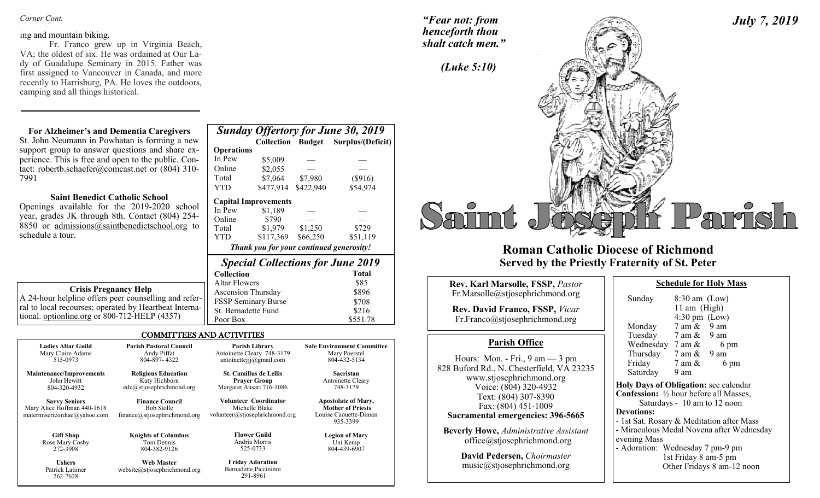#### *Corner Cont.*

#### ing and mountain biking.

262-7628

Fr. Franco grew up in Virginia Beach, VA; the oldest of six. He was ordained at Our Lady of Guadalupe Seminary in 2015. Father was first assigned to Vancouver in Canada, and more recently to Harrisburg, PA. He loves the outdoors, camping and all things historical.

# **For Alzheimer's and Dementia Caregivers**

### **Saint Benedict Catholic School**

| St. John Neumann in Powhatan is forming a new                                                                                                                                                                |                                   | <b>Collection Budget</b>                                                |                     | Surplus/(Deficit)                                             |
|--------------------------------------------------------------------------------------------------------------------------------------------------------------------------------------------------------------|-----------------------------------|-------------------------------------------------------------------------|---------------------|---------------------------------------------------------------|
| support group to answer questions and share ex-                                                                                                                                                              | <b>Operations</b>                 |                                                                         |                     |                                                               |
| perience. This is free and open to the public. Con-                                                                                                                                                          | In Pew                            | \$5,009                                                                 |                     |                                                               |
| tact: robertb.schaefer@comcast.net or (804) 310-                                                                                                                                                             | Online                            | \$2,055                                                                 |                     |                                                               |
| 7991                                                                                                                                                                                                         | Total                             | \$7,064                                                                 | \$7,980             | (\$916)                                                       |
|                                                                                                                                                                                                              | YTD.                              | \$477,914                                                               | \$422,940           | \$54,974                                                      |
| <b>Saint Benedict Catholic School</b><br>Openings available for the 2019-2020 school<br>year, grades JK through 8th. Contact (804) 254-<br>8850 or admissions@saintbenedictschool.org to<br>schedule a tour. | In Pew<br>Online<br>Total<br>YTD. | <b>Capital Improvements</b><br>\$1.189<br>\$790<br>\$1,979<br>\$117,369 | \$1,250<br>\$66,250 | \$729<br>\$51,119<br>Thank you for your continued generosity! |
|                                                                                                                                                                                                              |                                   |                                                                         |                     | <b>Special Collections for June 2019</b>                      |
|                                                                                                                                                                                                              | <b>Collection</b>                 |                                                                         |                     | Total                                                         |
| <b>Crisis Pregnancy Help</b>                                                                                                                                                                                 | <b>Altar Flowers</b>              |                                                                         |                     | \$85                                                          |
|                                                                                                                                                                                                              | Ascension Thursday                |                                                                         | \$896               |                                                               |
| A 24-hour helpline offers peer counselling and refer-                                                                                                                                                        | <b>FSSP Seminary Burse</b>        |                                                                         |                     | \$708                                                         |
| ral to local recourses; operated by Heartbeat Interna-                                                                                                                                                       | St. Bernadette Fund               |                                                                         |                     | \$216                                                         |
| tional. optionline.org or 800-712-HELP (4357)                                                                                                                                                                | Poor Box                          |                                                                         |                     | \$551.78                                                      |

*Sunday Offertory for June 30, 2019* 

## COMMITTEES AND ACTIVITIES

| <b>Ladies Altar Guild</b><br>Mary Claire Adams | <b>Parish Pastoral Council</b><br>Andy Piffat | Parish Library<br>Antoinette Cleary 748-3179 | <b>Safe Environment Committee</b><br>Mary Poerstel |
|------------------------------------------------|-----------------------------------------------|----------------------------------------------|----------------------------------------------------|
| 515-0973                                       | 804-897-4322                                  | antoinetteijj@gmail.com                      | 804-432-5134                                       |
| <b>Maintenance/Improvements</b>                | <b>Religious Education</b>                    | <b>St. Camillus de Lellis</b>                | <b>Sacristan</b>                                   |
| John Hewitt                                    | Katy Hichborn                                 | <b>Prayer Group</b>                          | Antoinette Cleary                                  |
| 804-320-4932                                   | $edu(a)$ stjosephrichmond.org                 | Margaret Ansari 716-1086                     | 748-3179                                           |
| <b>Savvy Seniors</b>                           | <b>Finance Council</b>                        | <b>Volunteer Coordinator</b>                 | <b>Apostolate of Mary,</b>                         |
| Mary Alice Hoffman 440-1618                    | <b>Bob Stolle</b>                             | Michelle Blake                               | <b>Mother of Priests</b>                           |
| matermisericordiae@yahoo.com                   | finance@stjosephrichmond.org                  | volunteer@stjosephrichmond.org               | Louise Caouette-Diman<br>935-3399                  |
| <b>Gift Shop</b>                               | <b>Knights of Columbus</b>                    | <b>Flower Guild</b>                          | <b>Legion of Mary</b>                              |
| Rose Mary Cosby                                | Tom Dennis                                    | Andria Morris                                | Uni Kemp                                           |
| 272-3908                                       | 804-382-9126                                  | 525-0733                                     | 804-439-6907                                       |
| <b>Ushers</b>                                  | <b>Web Master</b>                             | <b>Friday Adoration</b>                      |                                                    |
| Patrick Latimer                                | website@stiosephrichmond.org                  | Bernadette Piccininni                        |                                                    |

291-8961

*"Fear not: from henceforth thou shalt catch men."*



# **Roman Catholic Diocese of Richmond Served by the Priestly Fraternity of St. Peter**

| <b>Rev. Karl Marsolle, FSSP, Pastor</b>                                                                                                             | <b>Schedule for Holy Mass</b>                                                                                                              |
|-----------------------------------------------------------------------------------------------------------------------------------------------------|--------------------------------------------------------------------------------------------------------------------------------------------|
| Fr.Marsolle@stjosephrichmond.org                                                                                                                    | Sunday<br>$8:30$ am (Low)                                                                                                                  |
| <b>Rev. David Franco, FSSP, Vicar</b><br>Fr.Franco@stjosephrichmond.org                                                                             | 11 am (High)<br>$4:30 \text{ pm}$ (Low)<br>$7 \text{ am } \& 9 \text{ am}$<br>Monday                                                       |
|                                                                                                                                                     | Tuesday $7 \text{ am } \& 9 \text{ am}$                                                                                                    |
| <b>Parish Office</b>                                                                                                                                | Wednesday $7 \text{ am } \& 6 \text{ pm}$                                                                                                  |
| Hours: Mon. - Fri., $9 \text{ am} - 3 \text{ pm}$<br>828 Buford Rd., N. Chesterfield, VA 23235<br>www.stjosephrichmond.org<br>Voice: (804) 320-4932 | Thursday $7 \text{ am } \& 9 \text{ am}$<br>Friday $7 \text{ am } \&$<br>6 pm<br>Saturday<br>9 am<br>Holy Days of Obligation: see calendar |
| Text: (804) 307-8390                                                                                                                                | <b>Confession:</b> 1/2 hour before all Masses,                                                                                             |
| Fax: (804) 451-1009                                                                                                                                 | Saturdays - 10 am to 12 noon                                                                                                               |
| Sacramental emergencies: 396-5665                                                                                                                   | <b>Devotions:</b><br>- 1st Sat. Rosary & Meditation after Mass                                                                             |
| <b>Beverly Howe, Administrative Assistant</b>                                                                                                       | - Miraculous Medal Novena after Wednesday                                                                                                  |
| office@stjosephrichmond.org                                                                                                                         | evening Mass                                                                                                                               |
|                                                                                                                                                     | - Adoration: Wednesday 7 pm-9 pm                                                                                                           |
| David Pedersen, Choirmaster                                                                                                                         | 1st Friday 8 am-5 pm                                                                                                                       |
| music@stjosephrichmond.org                                                                                                                          | Other Fridays 8 am-12 noon                                                                                                                 |

 $-9$  pm pm Other Fridays 8 am-12 noon

*July 7, 2019*